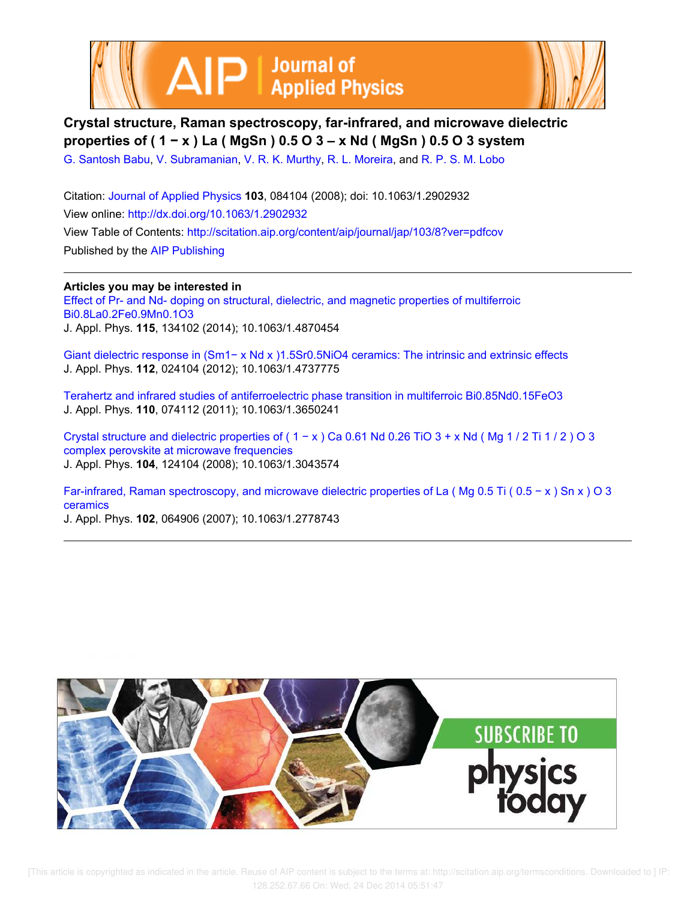



**Crystal structure, Raman spectroscopy, far-infrared, and microwave dielectric properties of ( 1 − x ) La ( MgSn ) 0.5 O 3 – x Nd ( MgSn ) 0.5 O 3 system**

G. Santosh Babu, V. Subramanian, V. R. K. Murthy, R. L. Moreira, and R. P. S. M. Lobo

Citation: Journal of Applied Physics **103**, 084104 (2008); doi: 10.1063/1.2902932 View online: http://dx.doi.org/10.1063/1.2902932 View Table of Contents: http://scitation.aip.org/content/aip/journal/jap/103/8?ver=pdfcov Published by the AIP Publishing

**Articles you may be interested in** Effect of Pr- and Nd- doping on structural, dielectric, and magnetic properties of multiferroic Bi0.8La0.2Fe0.9Mn0.1O3 J. Appl. Phys. **115**, 134102 (2014); 10.1063/1.4870454

Giant dielectric response in (Sm1− x Nd x )1.5Sr0.5NiO4 ceramics: The intrinsic and extrinsic effects J. Appl. Phys. **112**, 024104 (2012); 10.1063/1.4737775

Terahertz and infrared studies of antiferroelectric phase transition in multiferroic Bi0.85Nd0.15FeO3 J. Appl. Phys. **110**, 074112 (2011); 10.1063/1.3650241

Crystal structure and dielectric properties of ( $1 - x$ ) Ca 0.61 Nd 0.26 TiO  $3 + x$  Nd (Mg 1/2 Ti 1/2) O 3 complex perovskite at microwave frequencies J. Appl. Phys. **104**, 124104 (2008); 10.1063/1.3043574

Far-infrared, Raman spectroscopy, and microwave dielectric properties of La ( Mg 0.5 Ti ( 0.5 − x ) Sn x ) O 3 ceramics J. Appl. Phys. **102**, 064906 (2007); 10.1063/1.2778743

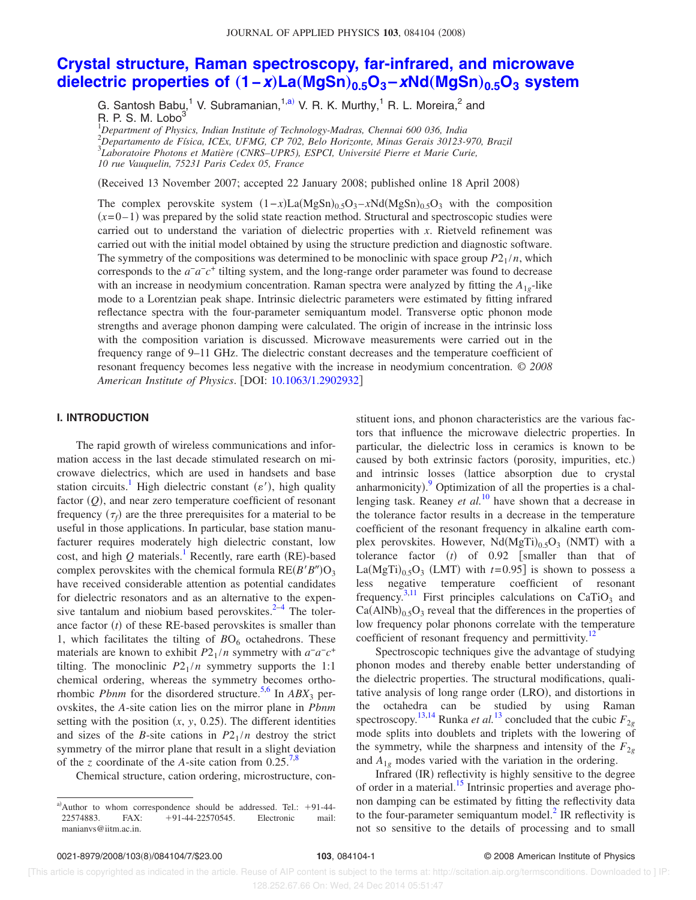# **Crystal structure, Raman spectroscopy, far-infrared, and microwave dielectric properties of** "**1−x**…**La**"**MgSn**…**0.5O<sup>3</sup> –xNd**"**MgSn**…**0.5O<sup>3</sup> system**

G. Santosh Babu,<sup>1</sup> V. Subramanian,<sup>1,a)</sup> V. R. K. Murthy,<sup>1</sup> R. L. Moreira,<sup>2</sup> and R. P. S. M. Lobo<sup>3</sup>

*Department of Physics, Indian Institute of Technology-Madras, Chennai 600 036, India Departamento de Física, ICEx, UFMG, CP 702, Belo Horizonte, Minas Gerais 30123-970, Brazil Laboratoire Photons et Matière (CNRS–UPR5), ESPCI, Université Pierre et Marie Curie, 10 rue Vauquelin, 75231 Paris Cedex 05, France*

(Received 13 November 2007; accepted 22 January 2008; published online 18 April 2008)

The complex perovskite system  $(1-x)La(MgSn)_{0.5}O_3 - xNd(MgSn)_{0.5}O_3$  with the composition  $(x=0-1)$  was prepared by the solid state reaction method. Structural and spectroscopic studies were carried out to understand the variation of dielectric properties with *x*. Rietveld refinement was carried out with the initial model obtained by using the structure prediction and diagnostic software. The symmetry of the compositions was determined to be monoclinic with space group  $P2_1/n$ , which corresponds to the  $a^-a^-c^+$  tilting system, and the long-range order parameter was found to decrease with an increase in neodymium concentration. Raman spectra were analyzed by fitting the  $A_{1g}$ -like mode to a Lorentzian peak shape. Intrinsic dielectric parameters were estimated by fitting infrared reflectance spectra with the four-parameter semiquantum model. Transverse optic phonon mode strengths and average phonon damping were calculated. The origin of increase in the intrinsic loss with the composition variation is discussed. Microwave measurements were carried out in the frequency range of 9–11 GHz. The dielectric constant decreases and the temperature coefficient of resonant frequency becomes less negative with the increase in neodymium concentration. © *2008 American Institute of Physics*. DOI: 10.1063/1.2902932

## **I. INTRODUCTION**

The rapid growth of wireless communications and information access in the last decade stimulated research on microwave dielectrics, which are used in handsets and base station circuits.<sup>1</sup> High dielectric constant ( $\varepsilon'$ ), high quality factor (Q), and near zero temperature coefficient of resonant frequency  $(\tau_f)$  are the three prerequisites for a material to be useful in those applications. In particular, base station manufacturer requires moderately high dielectric constant, low cost, and high  $Q$  materials.<sup>1</sup> Recently, rare earth (RE)-based complex perovskites with the chemical formula  $RE(B'B'')O_3$ have received considerable attention as potential candidates for dielectric resonators and as an alternative to the expensive tantalum and niobium based perovskites. $2-4$  The tolerance factor  $(t)$  of these RE-based perovskites is smaller than 1, which facilitates the tilting of  $BO<sub>6</sub>$  octahedrons. These materials are known to exhibit  $P2_1/n$  symmetry with  $a^-a^-c^+$ tilting. The monoclinic  $P2_1/n$  symmetry supports the 1:1 chemical ordering, whereas the symmetry becomes orthorhombic *Pbnm* for the disordered structure.<sup>5,6</sup> In *ABX*<sub>3</sub> perovskites, the *A*-site cation lies on the mirror plane in *Pbnm* setting with the position  $(x, y, 0.25)$ . The different identities and sizes of the *B*-site cations in  $P2_1/n$  destroy the strict symmetry of the mirror plane that result in a slight deviation of the *z* coordinate of the *A*-site cation from  $0.25$ .<sup>7,8</sup>

Chemical structure, cation ordering, microstructure, con-

stituent ions, and phonon characteristics are the various factors that influence the microwave dielectric properties. In particular, the dielectric loss in ceramics is known to be caused by both extrinsic factors (porosity, impurities, etc.) and intrinsic losses (lattice absorption due to crystal anharmonicity).<sup>9</sup> Optimization of all the properties is a challenging task. Reaney *et al.*<sup>10</sup> have shown that a decrease in the tolerance factor results in a decrease in the temperature coefficient of the resonant frequency in alkaline earth complex perovskites. However,  $Nd(MgTi)_{0.5}O_3$  (NMT) with a tolerance factor  $(t)$  of 0.92 [smaller than that of  $La(MgTi)_{0.5}O_3$  (LMT) with  $t=0.95$ ] is shown to possess a less negative temperature coefficient of resonant frequency.<sup>3,11</sup> First principles calculations on CaTiO<sub>3</sub> and  $Ca(AlNb)_{0.5}O_3$  reveal that the differences in the properties of low frequency polar phonons correlate with the temperature coefficient of resonant frequency and permittivity.<sup>12</sup>

Spectroscopic techniques give the advantage of studying phonon modes and thereby enable better understanding of the dielectric properties. The structural modifications, qualitative analysis of long range order (LRO), and distortions in the octahedra can be studied by using Raman spectroscopy.<sup>13,14</sup> Runka *et al.*<sup>13</sup> concluded that the cubic  $F_{2g}$ mode splits into doublets and triplets with the lowering of the symmetry, while the sharpness and intensity of the  $F_{2g}$ and  $A_{1g}$  modes varied with the variation in the ordering.

Infrared (IR) reflectivity is highly sensitive to the degree of order in a material.<sup>15</sup> Intrinsic properties and average phonon damping can be estimated by fitting the reflectivity data to the four-parameter semiquantum model. $^{2}$  IR reflectivity is not so sensitive to the details of processing and to small

a) Author to whom correspondence should be addressed. Tel.:  $+91-44-$ 22574883. FAX: 91-44-22570545. Electronic mail: manianvs@iitm.ac.in.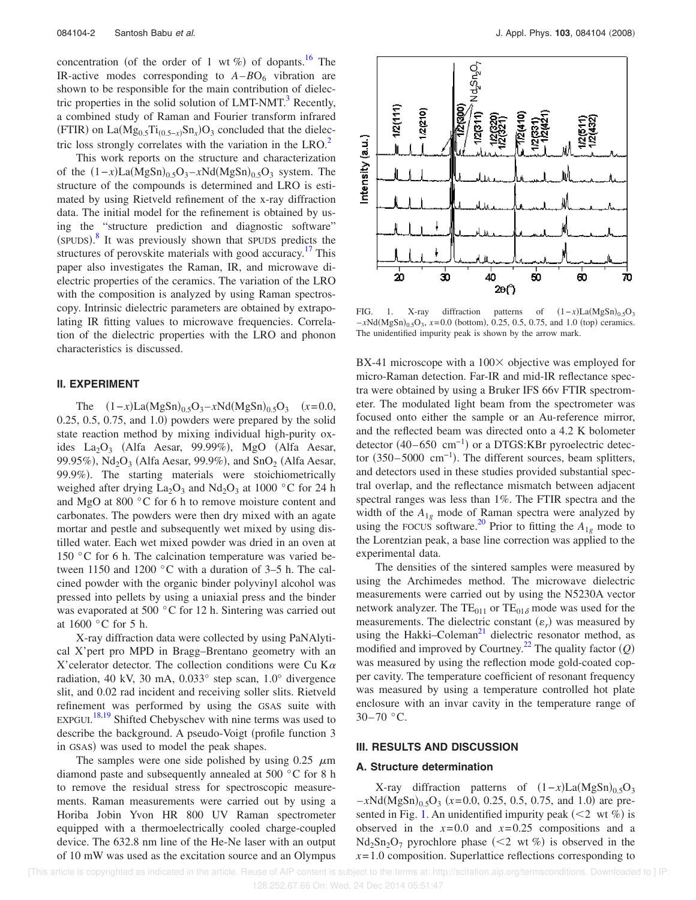concentration (of the order of 1 wt %) of dopants.<sup>16</sup> The IR-active modes corresponding to  $A - BO_6$  vibration are shown to be responsible for the main contribution of dielectric properties in the solid solution of  $LMT\text{-}NMT$ .<sup>3</sup> Recently, a combined study of Raman and Fourier transform infrared  $(FTIR)$  on La $(Mg_{0.5}Ti_{(0.5-x)}Sn_x)O_3$  concluded that the dielectric loss strongly correlates with the variation in the  $LRO<sup>2</sup>$ .

This work reports on the structure and characterization of the  $(1-x)La(MgSn)_{0.5}O_3 - xNd(MgSn)_{0.5}O_3$  system. The structure of the compounds is determined and LRO is estimated by using Rietveld refinement of the x-ray diffraction data. The initial model for the refinement is obtained by using the "structure prediction and diagnostic software" (SPUDS).<sup>8</sup> It was previously shown that SPUDS predicts the structures of perovskite materials with good accuracy.<sup>17</sup> This paper also investigates the Raman, IR, and microwave dielectric properties of the ceramics. The variation of the LRO with the composition is analyzed by using Raman spectroscopy. Intrinsic dielectric parameters are obtained by extrapolating IR fitting values to microwave frequencies. Correlation of the dielectric properties with the LRO and phonon characteristics is discussed.

## **II. EXPERIMENT**

The  $(1-x)La(MgSn)_{0.5}O_3 - xNd(MgSn)_{0.5}O_3$   $(x=0.0,$  $0.25, 0.5, 0.75,$  and  $1.0$ ) powders were prepared by the solid state reaction method by mixing individual high-purity oxides  $La_2O_3$  (Alfa Aesar, 99.99%), MgO (Alfa Aesar, 99.95%),  $Nd<sub>2</sub>O<sub>3</sub>$  (Alfa Aesar, 99.9%), and  $SnO<sub>2</sub>$  (Alfa Aesar, 99.9%). The starting materials were stoichiometrically weighed after drying  $La_2O_3$  and  $Nd_2O_3$  at 1000 °C for 24 h and MgO at 800 °C for 6 h to remove moisture content and carbonates. The powders were then dry mixed with an agate mortar and pestle and subsequently wet mixed by using distilled water. Each wet mixed powder was dried in an oven at 150 °C for 6 h. The calcination temperature was varied between 1150 and 1200 °C with a duration of 3–5 h. The calcined powder with the organic binder polyvinyl alcohol was pressed into pellets by using a uniaxial press and the binder was evaporated at 500 °C for 12 h. Sintering was carried out at 1600 °C for 5 h.

X-ray diffraction data were collected by using PaNAlytical X'pert pro MPD in Bragg–Brentano geometry with an X'celerator detector. The collection conditions were Cu K $\alpha$ radiation, 40 kV, 30 mA, 0.033° step scan, 1.0° divergence slit, and 0.02 rad incident and receiving soller slits. Rietveld refinement was performed by using the GSAS suite with EXPGUI.<sup>18,19</sup> Shifted Chebyschev with nine terms was used to describe the background. A pseudo-Voigt (profile function 3 in GSAS) was used to model the peak shapes.

The samples were one side polished by using 0.25  $\mu$ m diamond paste and subsequently annealed at 500 °C for 8 h to remove the residual stress for spectroscopic measurements. Raman measurements were carried out by using a Horiba Jobin Yvon HR 800 UV Raman spectrometer equipped with a thermoelectrically cooled charge-coupled device. The 632.8 nm line of the He-Ne laser with an output of 10 mW was used as the excitation source and an Olympus



FIG. 1. X-ray diffraction patterns of  $(1-x)La(MgSn)_{0.5}O_3$  $-xNd(MgSn)_{0.5}O_3$ ,  $x=0.0$  (bottom), 0.25, 0.5, 0.75, and 1.0 (top) ceramics. The unidentified impurity peak is shown by the arrow mark.

BX-41 microscope with a  $100 \times$  objective was employed for micro-Raman detection. Far-IR and mid-IR reflectance spectra were obtained by using a Bruker IFS 66v FTIR spectrometer. The modulated light beam from the spectrometer was focused onto either the sample or an Au-reference mirror, and the reflected beam was directed onto a 4.2 K bolometer detector  $(40-650 \text{ cm}^{-1})$  or a DTGS:KBr pyroelectric detector  $(350-5000 \text{ cm}^{-1})$ . The different sources, beam splitters, and detectors used in these studies provided substantial spectral overlap, and the reflectance mismatch between adjacent spectral ranges was less than 1%. The FTIR spectra and the width of the  $A_{1g}$  mode of Raman spectra were analyzed by using the FOCUS software.<sup>20</sup> Prior to fitting the  $A_{1g}$  mode to the Lorentzian peak, a base line correction was applied to the experimental data.

The densities of the sintered samples were measured by using the Archimedes method. The microwave dielectric measurements were carried out by using the N5230A vector network analyzer. The TE<sub>011</sub> or TE<sub>018</sub> mode was used for the measurements. The dielectric constant  $(\varepsilon_r)$  was measured by using the Hakki–Coleman<sup>21</sup> dielectric resonator method, as modified and improved by Courtney.<sup>22</sup> The quality factor  $(Q)$ was measured by using the reflection mode gold-coated copper cavity. The temperature coefficient of resonant frequency was measured by using a temperature controlled hot plate enclosure with an invar cavity in the temperature range of  $30-70$  °C.

## **III. RESULTS AND DISCUSSION**

## **A. Structure determination**

X-ray diffraction patterns of  $(1-x)La(MgSn)_{0.5}O_3$  $-xNd(MgSn)_{0.5}O_3$  ( $x=0.0, 0.25, 0.5, 0.75,$  and 1.0) are presented in Fig. 1. An unidentified impurity peak  $(< 2$  wt %) is observed in the  $x=0.0$  and  $x=0.25$  compositions and a  $Nd_2Sn_2O_7$  pyrochlore phase  $(< 2$  wt %) is observed in the  $x = 1.0$  composition. Superlattice reflections corresponding to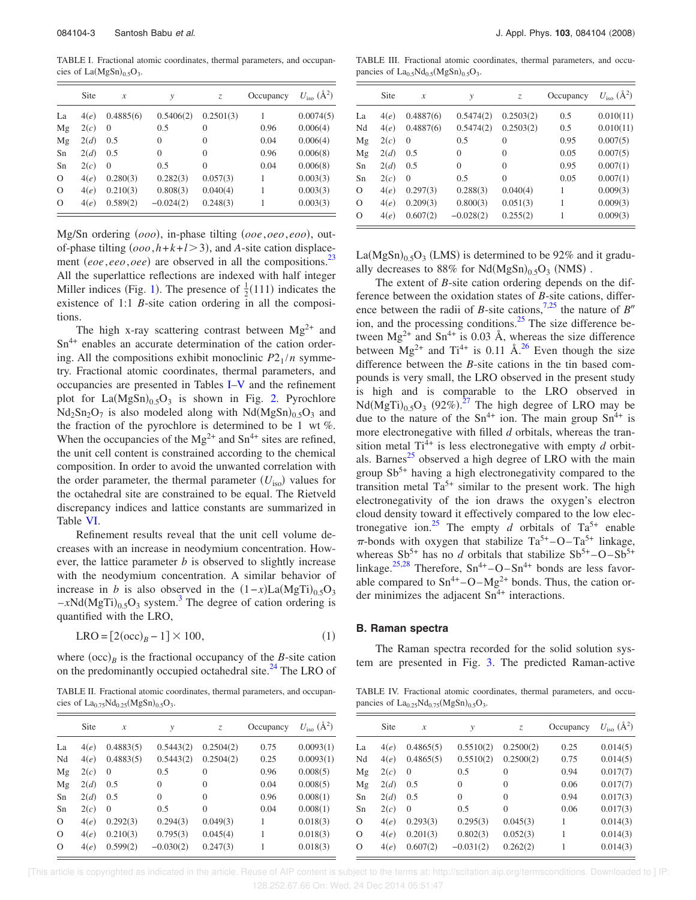TABLE I. Fractional atomic coordinates, thermal parameters, and occupancies of  $La(MgSn)_{0.5}O_3$ .

|          | Site | $\boldsymbol{x}$ | y           | Z.        | Occupancy | $U_{\rm iso}$ ( $\rm \AA^2$ ) |
|----------|------|------------------|-------------|-----------|-----------|-------------------------------|
| La       | 4(e) | 0.4885(6)        | 0.5406(2)   | 0.2501(3) | 1         | 0.0074(5)                     |
| Mg       | 2(c) | $\theta$         | 0.5         | $\Omega$  | 0.96      | 0.006(4)                      |
| Mg       | 2(d) | 0.5              | $\theta$    | $\theta$  | 0.04      | 0.006(4)                      |
| Sn       | 2(d) | 0.5              | $\theta$    | $\Omega$  | 0.96      | 0.006(8)                      |
| Sn       | 2(c) | $\theta$         | 0.5         | $\theta$  | 0.04      | 0.006(8)                      |
| $\Omega$ | 4(e) | 0.280(3)         | 0.282(3)    | 0.057(3)  | 1         | 0.003(3)                      |
| $\Omega$ | 4(e) | 0.210(3)         | 0.808(3)    | 0.040(4)  | 1         | 0.003(3)                      |
| $\Omega$ | 4(e) | 0.589(2)         | $-0.024(2)$ | 0.248(3)  |           | 0.003(3)                      |

Mg/Sn ordering  $(000)$ , in-phase tilting  $(00e, 0e0, e00)$ , outof-phase tilting  $(0.00, h+k+l>3)$ , and *A*-site cation displacement *(eoe,eeo,oee)* are observed in all the compositions.<sup>23</sup> All the superlattice reflections are indexed with half integer Miller indices (Fig. 1). The presence of  $\frac{1}{2}(111)$  indicates the existence of 1:1 *B*-site cation ordering in all the compositions.

The high x-ray scattering contrast between  $Mg^{2+}$  and Sn<sup>4+</sup> enables an accurate determination of the cation ordering. All the compositions exhibit monoclinic  $P2_1/n$  symmetry. Fractional atomic coordinates, thermal parameters, and occupancies are presented in Tables I–V and the refinement plot for  $La(MgSn)_{0.5}O_3$  is shown in Fig. 2. Pyrochlore  $Nd_2Sn_2O_7$  is also modeled along with  $Nd(MgSn)_{0.5}O_3$  and the fraction of the pyrochlore is determined to be 1 wt *%*. When the occupancies of the  $Mg^{2+}$  and  $Sn^{4+}$  sites are refined, the unit cell content is constrained according to the chemical composition. In order to avoid the unwanted correlation with the order parameter, the thermal parameter ( $U_{\text{iso}}$ ) values for the octahedral site are constrained to be equal. The Rietveld discrepancy indices and lattice constants are summarized in Table VI.

Refinement results reveal that the unit cell volume decreases with an increase in neodymium concentration. However, the lattice parameter *b* is observed to slightly increase with the neodymium concentration. A similar behavior of increase in *b* is also observed in the  $(1-x)La(MgTi)_{0.5}O_3$  $-xNd(MgTi)_{0.5}O_3$  system.<sup>3</sup> The degree of cation ordering is quantified with the LRO,

$$
LRO = [2(occ)B - 1] \times 100,
$$
 (1)

where  $(occ)_B$  is the fractional occupancy of the *B*-site cation on the predominantly occupied octahedral site.<sup>24</sup> The LRO of

TABLE II. Fractional atomic coordinates, thermal parameters, and occupancies of  $La_{0.75}Nd_{0.25}(MgSn)_{0.5}O_3$ .

|           |                                                                      |                | Occupancy | $U_{\rm iso}$ ( $\rm \AA^2$ ) |
|-----------|----------------------------------------------------------------------|----------------|-----------|-------------------------------|
| 0.4883(5) | 0.5443(2)                                                            | 0.2504(2)      | 0.75      | 0.0093(1)                     |
| 0.4883(5) | 0.5443(2)                                                            | 0.2504(2)      | 0.25      | 0.0093(1)                     |
| $\theta$  | 0.5                                                                  | $\theta$       | 0.96      | 0.008(5)                      |
| 0.5       | $\theta$                                                             | $\overline{0}$ | 0.04      | 0.008(5)                      |
| 0.5       | $\theta$                                                             | $\Omega$       | 0.96      | 0.008(1)                      |
| $\theta$  | 0.5                                                                  | $\theta$       | 0.04      | 0.008(1)                      |
| 0.292(3)  | 0.294(3)                                                             | 0.049(3)       | 1         | 0.018(3)                      |
| 0.210(3)  | 0.795(3)                                                             | 0.045(4)       |           | 0.018(3)                      |
| 0.599(2)  | $-0.030(2)$                                                          | 0.247(3)       | 1         | 0.018(3)                      |
|           | 4(e)<br>4(e)<br>2(c)<br>2(d)<br>2(d)<br>2(c)<br>4(e)<br>4(e)<br>4(e) |                |           |                               |

TABLE III. Fractional atomic coordinates, thermal parameters, and occupancies of  $La<sub>0.5</sub>Nd<sub>0.5</sub>(MgSn)<sub>0.5</sub>O<sub>3</sub>$ .

|          | Site | $\mathcal{X}$ | $\mathcal{V}$ | Z.        | Occupancy | $U_{\text{iso}}$ ( $\AA^2$ ) |
|----------|------|---------------|---------------|-----------|-----------|------------------------------|
| La       | 4(e) | 0.4887(6)     | 0.5474(2)     | 0.2503(2) | 0.5       | 0.010(11)                    |
| Nd       | 4(e) | 0.4887(6)     | 0.5474(2)     | 0.2503(2) | 0.5       | 0.010(11)                    |
| Mg       | 2(c) | $\Omega$      | 0.5           | $\theta$  | 0.95      | 0.007(5)                     |
| Mg       | 2(d) | 0.5           | $\theta$      | $\theta$  | 0.05      | 0.007(5)                     |
| Sn       | 2(d) | 0.5           | $\theta$      | $\Omega$  | 0.95      | 0.007(1)                     |
| Sn       | 2(c) | $\Omega$      | 0.5           | $\Omega$  | 0.05      | 0.007(1)                     |
| $\Omega$ | 4(e) | 0.297(3)      | 0.288(3)      | 0.040(4)  | 1         | 0.009(3)                     |
| $\Omega$ | 4(e) | 0.209(3)      | 0.800(3)      | 0.051(3)  | 1         | 0.009(3)                     |
| $\circ$  | 4(e) | 0.607(2)      | $-0.028(2)$   | 0.255(2)  |           | 0.009(3)                     |

 $La(MgSn)_{0.5}O_3$  (LMS) is determined to be 92% and it gradually decreases to  $88\%$  for  $Nd(MgSn)_{0.5}O_3$  (NMS).

The extent of *B*-site cation ordering depends on the difference between the oxidation states of *B*-site cations, difference between the radii of *B*-site cations,<sup>7,25</sup> the nature of *B*<sup>*n*</sup> ion, and the processing conditions.<sup>25</sup> The size difference between  $Mg^{2+}$  and  $Sn^{4+}$  is 0.03 Å, whereas the size difference between  $Mg^{2+}$  and Ti<sup>4+</sup> is 0.11 Å.<sup>26</sup> Even though the size difference between the *B*-site cations in the tin based compounds is very small, the LRO observed in the present study is high and is comparable to the LRO observed in  $Nd(MgTi)_{0.5}O_3$  (92%).<sup>27</sup> The high degree of LRO may be due to the nature of the  $Sn^{4+}$  ion. The main group  $Sn^{4+}$  is more electronegative with filled *d* orbitals, whereas the transition metal  $Ti^{4+}$  is less electronegative with empty *d* orbitals. Barnes $^{25}$  observed a high degree of LRO with the main group  $Sb^{5+}$  having a high electronegativity compared to the transition metal  $Ta^{5+}$  similar to the present work. The high electronegativity of the ion draws the oxygen's electron cloud density toward it effectively compared to the low electronegative ion.<sup>25</sup> The empty *d* orbitals of  $Ta^{5+}$  enable  $\pi$ -bonds with oxygen that stabilize Ta<sup>5+</sup>-O-Ta<sup>5+</sup> linkage, whereas  $Sb^{5+}$  has no *d* orbitals that stabilize  $Sb^{5+}$ –O– $Sb^{5+}$ linkage.<sup>25,28</sup> Therefore,  $Sn^{4+} - O - Sn^{4+}$  bonds are less favorable compared to  $Sn^{4+} - O - Mg^{2+}$  bonds. Thus, the cation order minimizes the adjacent  $Sn^{4+}$  interactions.

#### **B. Raman spectra**

The Raman spectra recorded for the solid solution system are presented in Fig. 3. The predicted Raman-active

TABLE IV. Fractional atomic coordinates, thermal parameters, and occupancies of  $La_{0.25}Nd_{0.75}(MgSn)_{0.5}O_3$ .

|                | Site | $\boldsymbol{x}$ | $\mathcal{V}$ | Z.             | Occupancy | $U_{\text{iso}}$ ( $\AA^2$ ) |
|----------------|------|------------------|---------------|----------------|-----------|------------------------------|
| La             | 4(e) | 0.4865(5)        | 0.5510(2)     | 0.2500(2)      | 0.25      | 0.014(5)                     |
| Nd             | 4(e) | 0.4865(5)        | 0.5510(2)     | 0.2500(2)      | 0.75      | 0.014(5)                     |
| Mg             | 2(c) | $\Omega$         | 0.5           | $\theta$       | 0.94      | 0.017(7)                     |
| Mg             | 2(d) | 0.5              | $\theta$      | $\theta$       | 0.06      | 0.017(7)                     |
| Sn             | 2(d) | 0.5              | $\theta$      | $\theta$       | 0.94      | 0.017(3)                     |
| Sn             | 2(c) | $\theta$         | 0.5           | $\overline{0}$ | 0.06      | 0.017(3)                     |
| $\overline{O}$ | 4(e) | 0.293(3)         | 0.295(3)      | 0.045(3)       | 1         | 0.014(3)                     |
| $\overline{O}$ | 4(e) | 0.201(3)         | 0.802(3)      | 0.052(3)       | 1         | 0.014(3)                     |
| $\overline{O}$ | 4(e) | 0.607(2)         | $-0.031(2)$   | 0.262(2)       | 1         | 0.014(3)                     |
|                |      |                  |               |                |           |                              |

 [This article is copyrighted as indicated in the article. Reuse of AIP content is subject to the terms at: http://scitation.aip.org/termsconditions. Downloaded to ] IP: 128.252.67.66 On: Wed, 24 Dec 2014 05:51:47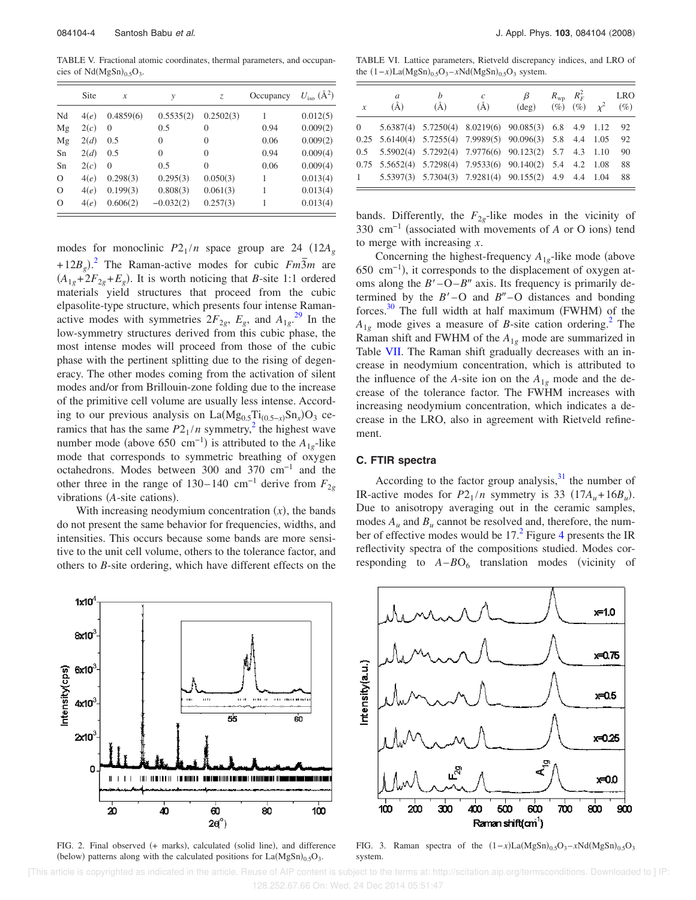TABLE V. Fractional atomic coordinates, thermal parameters, and occupancies of  $Nd(MgSn)_{0.5}O_3$ .

|          | Site | $\mathcal{X}$ | y           | Z.           | Occupancy | $U_{\text{iso}}$ (Å <sup>2</sup> ) |
|----------|------|---------------|-------------|--------------|-----------|------------------------------------|
| Nd       | 4(e) | 0.4859(6)     | 0.5535(2)   | 0.2502(3)    |           | 0.012(5)                           |
| Mg       | 2(c) | $\theta$      | 0.5         | 0            | 0.94      | 0.009(2)                           |
| Mg       | 2(d) | 0.5           | $\theta$    | $\theta$     | 0.06      | 0.009(2)                           |
| Sn       | 2(d) | 0.5           | $\theta$    | $\mathbf{0}$ | 0.94      | 0.009(4)                           |
| Sn       | 2(c) | $\Omega$      | 0.5         | $\Omega$     | 0.06      | 0.009(4)                           |
| $\Omega$ | 4(e) | 0.298(3)      | 0.295(3)    | 0.050(3)     | 1         | 0.013(4)                           |
| $\Omega$ | 4(e) | 0.199(3)      | 0.808(3)    | 0.061(3)     | 1         | 0.013(4)                           |
| $\circ$  | 4(e) | 0.606(2)      | $-0.032(2)$ | 0.257(3)     |           | 0.013(4)                           |

modes for monoclinic  $P2_1/n$  space group are 24 (12 $A_g$ )  $+ 12B_g$ <sup>2</sup>. The Raman-active modes for cubic  $Fm\overline{3}m$  are  $(A_{1g} + 2F_{2g} + E_g)$ . It is worth noticing that *B*-site 1:1 ordered materials yield structures that proceed from the cubic elpasolite-type structure, which presents four intense Ramanactive modes with symmetries  $2F_{2g}$ ,  $E_g$ , and  $A_{1g}$ <sup>29</sup>. In the low-symmetry structures derived from this cubic phase, the most intense modes will proceed from those of the cubic phase with the pertinent splitting due to the rising of degeneracy. The other modes coming from the activation of silent modes and/or from Brillouin-zone folding due to the increase of the primitive cell volume are usually less intense. According to our previous analysis on  $La(Mg_{0.5}Ti_{(0.5-x)}Sn_x)O_3$  ceramics that has the same  $P2_1/n$  symmetry,<sup>2</sup> the highest wave number mode (above 650 cm<sup>-1</sup>) is attributed to the  $A_{1g}$ -like mode that corresponds to symmetric breathing of oxygen octahedrons. Modes between 300 and 370 cm−1 and the other three in the range of 130–140 cm<sup>-1</sup> derive from  $F_{2g}$ vibrations (A-site cations).

With increasing neodymium concentration  $(x)$ , the bands do not present the same behavior for frequencies, widths, and intensities. This occurs because some bands are more sensitive to the unit cell volume, others to the tolerance factor, and others to *B*-site ordering, which have different effects on the



FIG. 2. Final observed (+ marks), calculated (solid line), and difference (below) patterns along with the calculated positions for  $La(MgSn)_{0.5}O_3$ .

TABLE VI. Lattice parameters, Rietveld discrepancy indices, and LRO of the  $(1-x)La(MgSn)_{0.5}O_3 - xNd(MgSn)_{0.5}O_3$  system.

| $\boldsymbol{x}$                | a<br>(A)                                                                  | h<br>(A)                                             | $\mathcal{C}_{0}^{(n)}$<br>$(\AA)$ | $\beta$<br>$(\text{deg})$ | $R_{\rm wp}$ $R_F^2$<br>$(\%)(\%) (\%) \chi^2$ | <b>LRO</b><br>$(\%)$ |
|---------------------------------|---------------------------------------------------------------------------|------------------------------------------------------|------------------------------------|---------------------------|------------------------------------------------|----------------------|
| $\begin{matrix} 0 \end{matrix}$ |                                                                           | 5.6387(4) 5.7250(4) 8.0219(6) 90.085(3) 6.8 4.9 1.12 |                                    |                           |                                                | 92                   |
|                                 | $0.25$ 5.6140(4) 5.7255(4) 7.9989(5) 90.096(3) 5.8 4.4 1.05               |                                                      |                                    |                           |                                                | 92                   |
|                                 | 0.5 5.5902(4) 5.7292(4) 7.9776(6) 90.123(2) 5.7 4.3 1.10                  |                                                      |                                    |                           |                                                | 90                   |
|                                 | $0.75$ $5.5652(4)$ $5.7298(4)$ $7.9533(6)$ $90.140(2)$ $5.4$ $4.2$ $1.08$ |                                                      |                                    |                           |                                                | 88                   |
| 1                               |                                                                           | 5.5397(3) 5.7304(3) 7.9281(4) 90.155(2) 4.9 4.4 1.04 |                                    |                           |                                                | 88                   |

bands. Differently, the  $F_{2g}$ -like modes in the vicinity of 330 cm<sup>-1</sup> (associated with movements of *A* or O ions) tend to merge with increasing *x*.

Concerning the highest-frequency  $A_{1g}$ -like mode (above 650 cm<sup>-1</sup>), it corresponds to the displacement of oxygen atoms along the  $B'$ –O– $B''$  axis. Its frequency is primarily determined by the  $B'$  – O and  $B''$  – O distances and bonding forces.<sup>30</sup> The full width at half maximum (FWHM) of the  $A_{1g}$  mode gives a measure of *B*-site cation ordering.<sup>2</sup> The Raman shift and FWHM of the *A*1*<sup>g</sup>* mode are summarized in Table VII. The Raman shift gradually decreases with an increase in neodymium concentration, which is attributed to the influence of the *A*-site ion on the  $A_{1g}$  mode and the decrease of the tolerance factor. The FWHM increases with increasing neodymium concentration, which indicates a decrease in the LRO, also in agreement with Rietveld refinement.

## **C. FTIR spectra**

According to the factor group analysis, $31$  the number of IR-active modes for  $P2_1/n$  symmetry is 33 (17 $A_u + 16B_u$ ). Due to anisotropy averaging out in the ceramic samples, modes  $A_u$  and  $B_u$  cannot be resolved and, therefore, the number of effective modes would be  $17<sup>2</sup>$  Figure 4 presents the IR reflectivity spectra of the compositions studied. Modes corresponding to  $A - BO_6$  translation modes (vicinity of



FIG. 3. Raman spectra of the  $(1-x)La(MgSn)_{0.5}O_3 - xNd(MgSn)_{0.5}O_3$ system.

 [This article is copyrighted as indicated in the article. Reuse of AIP content is subject to the terms at: http://scitation.aip.org/termsconditions. Downloaded to ] IP: 128.252.67.66 On: Wed, 24 Dec 2014 05:51:47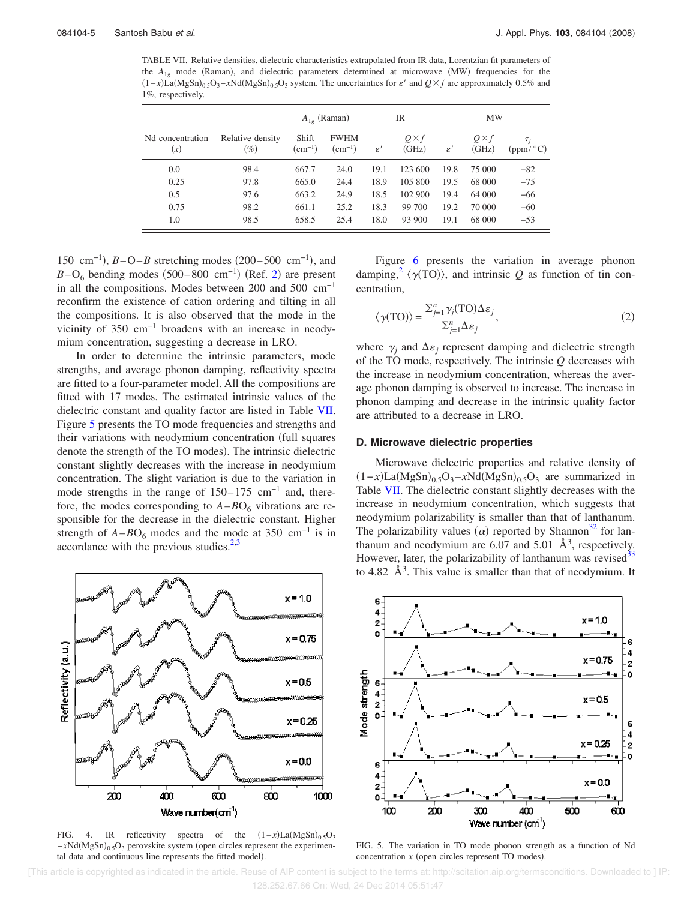TABLE VII. Relative densities, dielectric characteristics extrapolated from IR data, Lorentzian fit parameters of the  $A_{1g}$  mode (Raman), and dielectric parameters determined at microwave (MW) frequencies for the  $(1-x)\tilde{L}_a(MgSn)_{0.5}O_3 - xNd(MgSn)_{0.5}O_3$  system. The uncertainties for  $\varepsilon'$  and  $Q \times f$  are approximately 0.5% and 1%, respectively.

|                         |                            | $A_{1g}$ (Raman)         |                            | IR             |                      | <b>MW</b>      |                      |                                                        |
|-------------------------|----------------------------|--------------------------|----------------------------|----------------|----------------------|----------------|----------------------|--------------------------------------------------------|
| Nd concentration<br>(x) | Relative density<br>$(\%)$ | Shift<br>$\rm (cm^{-1})$ | <b>FWHM</b><br>$(cm^{-1})$ | $\varepsilon'$ | $Q\times f$<br>(GHz) | $\varepsilon'$ | $Q\times f$<br>(GHz) | $\tau_{\scriptscriptstyle f}$<br>(ppm/ <sup>o</sup> C) |
| 0.0                     | 98.4                       | 667.7                    | 24.0                       | 19.1           | 123 600              | 19.8           | 75 000               | $-82$                                                  |
| 0.25                    | 97.8                       | 665.0                    | 24.4                       | 18.9           | 105 800              | 19.5           | 68 000               | $-75$                                                  |
| 0.5                     | 97.6                       | 663.2                    | 24.9                       | 18.5           | 102 900              | 19.4           | 64 000               | $-66$                                                  |
| 0.75                    | 98.2                       | 661.1                    | 25.2                       | 18.3           | 99 700               | 19.2           | 70 000               | $-60$                                                  |
| 1.0                     | 98.5                       | 658.5                    | 25.4                       | 18.0           | 93 900               | 19.1           | 68 000               | $-53$                                                  |

150 cm<sup>-1</sup>), *B*−O−*B* stretching modes (200–500 cm<sup>-1</sup>), and  $B-\text{O}_6$  bending modes (500–800 cm<sup>-1</sup>) (Ref. 2) are present in all the compositions. Modes between 200 and 500 cm−1 reconfirm the existence of cation ordering and tilting in all the compositions. It is also observed that the mode in the vicinity of 350 cm−1 broadens with an increase in neodymium concentration, suggesting a decrease in LRO.

In order to determine the intrinsic parameters, mode strengths, and average phonon damping, reflectivity spectra are fitted to a four-parameter model. All the compositions are fitted with 17 modes. The estimated intrinsic values of the dielectric constant and quality factor are listed in Table VII. Figure 5 presents the TO mode frequencies and strengths and their variations with neodymium concentration (full squares denote the strength of the TO modes). The intrinsic dielectric constant slightly decreases with the increase in neodymium concentration. The slight variation is due to the variation in mode strengths in the range of  $150-175$  cm<sup>-1</sup> and, therefore, the modes corresponding to  $A - BO_6$  vibrations are responsible for the decrease in the dielectric constant. Higher strength of  $A$ – $BO<sub>6</sub>$  modes and the mode at 350 cm<sup>-1</sup> is in accordance with the previous studies. $2,3$ 



FIG. 4. IR reflectivity spectra of the  $(1-x)La(MgSn)_{0.5}O_3$  $-xNd(MgSn)_{0.5}O_3$  perovskite system (open circles represent the experimental data and continuous line represents the fitted model).

Figure 6 presents the variation in average phonon damping,<sup>2</sup>  $\langle \gamma(TO) \rangle$ , and intrinsic *Q* as function of tin concentration,

$$
\langle \gamma(TO) \rangle = \frac{\sum_{j=1}^{n} \gamma_j(TO) \Delta \varepsilon_j}{\sum_{j=1}^{n} \Delta \varepsilon_j},\tag{2}
$$

where  $\gamma_j$  and  $\Delta \varepsilon_j$  represent damping and dielectric strength of the TO mode, respectively. The intrinsic *Q* decreases with the increase in neodymium concentration, whereas the average phonon damping is observed to increase. The increase in phonon damping and decrease in the intrinsic quality factor are attributed to a decrease in LRO.

## **D. Microwave dielectric properties**

Microwave dielectric properties and relative density of  $(1-x)La(MgSn)_{0.5}O_3 - xNd(MgSn)_{0.5}O_3$  are summarized in Table VII. The dielectric constant slightly decreases with the increase in neodymium concentration, which suggests that neodymium polarizability is smaller than that of lanthanum. The polarizability values ( $\alpha$ ) reported by Shannon<sup>32</sup> for lanthanum and neodymium are 6.07 and 5.01  $\AA$ <sup>3</sup>, respectively. However, later, the polarizability of lanthanum was revised<sup>3</sup> to 4.82  $\AA$ <sup>3</sup>. This value is smaller than that of neodymium. It



FIG. 5. The variation in TO mode phonon strength as a function of Nd concentration  $x$  (open circles represent TO modes).

 [This article is copyrighted as indicated in the article. Reuse of AIP content is subject to the terms at: http://scitation.aip.org/termsconditions. Downloaded to ] IP: 128.252.67.66 On: Wed, 24 Dec 2014 05:51:47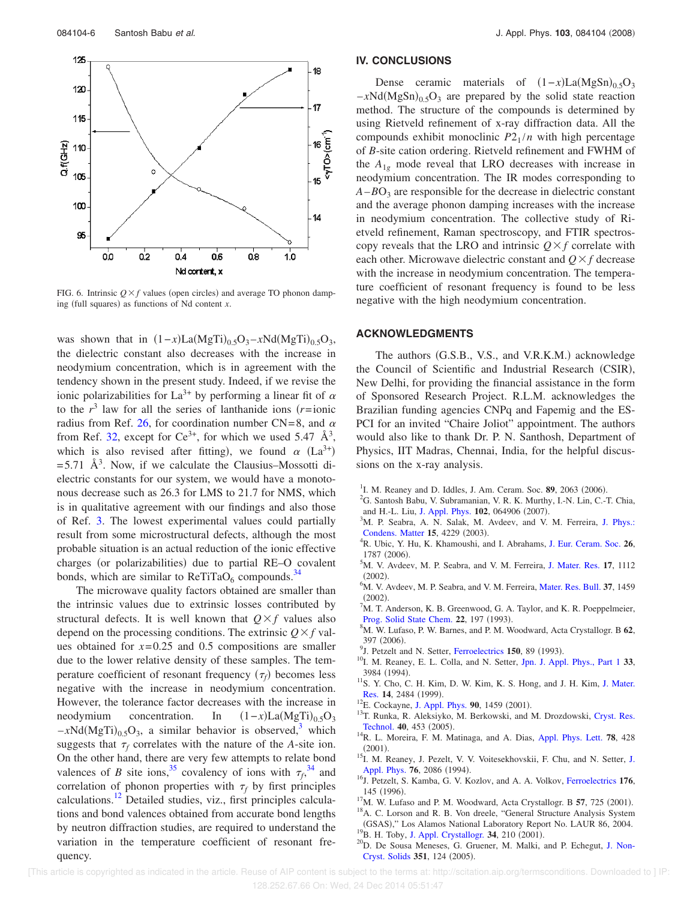

FIG. 6. Intrinsic  $Q \times f$  values (open circles) and average TO phonon damping (full squares) as functions of Nd content *x*.

was shown that in  $(1-x)La(MgTi)_{0.5}O_3 - xNd(MgTi)_{0.5}O_3$ , the dielectric constant also decreases with the increase in neodymium concentration, which is in agreement with the tendency shown in the present study. Indeed, if we revise the ionic polarizabilities for La<sup>3+</sup> by performing a linear fit of  $\alpha$ to the  $r^3$  law for all the series of lanthanide ions  $(r=1)$ radius from Ref. 26, for coordination number CN=8, and  $\alpha$ from Ref. 32, except for Ce<sup>3+</sup>, for which we used 5.47  $\AA^3$ , which is also revised after fitting), we found  $\alpha$  (La<sup>3+</sup>)  $= 5.71$   $\rm \AA^3$ . Now, if we calculate the Clausius–Mossotti dielectric constants for our system, we would have a monotonous decrease such as 26.3 for LMS to 21.7 for NMS, which is in qualitative agreement with our findings and also those of Ref. 3. The lowest experimental values could partially result from some microstructural defects, although the most probable situation is an actual reduction of the ionic effective charges (or polarizabilities) due to partial RE-O covalent bonds, which are similar to  $\text{ReTiTaO}_6$  compounds.<sup>34</sup>

The microwave quality factors obtained are smaller than the intrinsic values due to extrinsic losses contributed by structural defects. It is well known that  $Q \times f$  values also depend on the processing conditions. The extrinsic  $Q \times f$  values obtained for  $x=0.25$  and 0.5 compositions are smaller due to the lower relative density of these samples. The temperature coefficient of resonant frequency  $(\tau_f)$  becomes less negative with the increase in neodymium concentration. However, the tolerance factor decreases with the increase in neodymium concentration. In  $La(MgTi)_{0.5}O_3$  $-xNd(MgTi)_{0.5}O_3$ , a similar behavior is observed,<sup>3</sup> which suggests that  $\tau_f$  correlates with the nature of the *A*-site ion. On the other hand, there are very few attempts to relate bond valences of *B* site ions,<sup>35</sup> covalency of ions with  $\tau_f$ ,<sup>34</sup> and correlation of phonon properties with  $\tau_f$  by first principles calculations.<sup>12</sup> Detailed studies, viz., first principles calculations and bond valences obtained from accurate bond lengths by neutron diffraction studies, are required to understand the variation in the temperature coefficient of resonant frequency.

#### **IV. CONCLUSIONS**

Dense ceramic materials of  $(1-x)La(MgSn)_{0.5}O_3$  $-xNd(MgSn)_{0.5}O_3$  are prepared by the solid state reaction method. The structure of the compounds is determined by using Rietveld refinement of x-ray diffraction data. All the compounds exhibit monoclinic  $P2_1/n$  with high percentage of *B*-site cation ordering. Rietveld refinement and FWHM of the  $A_{1g}$  mode reveal that LRO decreases with increase in neodymium concentration. The IR modes corresponding to  $A - BO<sub>3</sub>$  are responsible for the decrease in dielectric constant and the average phonon damping increases with the increase in neodymium concentration. The collective study of Rietveld refinement, Raman spectroscopy, and FTIR spectroscopy reveals that the LRO and intrinsic  $Q \times f$  correlate with each other. Microwave dielectric constant and  $Q \times f$  decrease with the increase in neodymium concentration. The temperature coefficient of resonant frequency is found to be less negative with the high neodymium concentration.

#### **ACKNOWLEDGMENTS**

The authors (G.S.B., V.S., and V.R.K.M.) acknowledge the Council of Scientific and Industrial Research (CSIR), New Delhi, for providing the financial assistance in the form of Sponsored Research Project. R.L.M. acknowledges the Brazilian funding agencies CNPq and Fapemig and the ES-PCI for an invited "Chaire Joliot" appointment. The authors would also like to thank Dr. P. N. Santhosh, Department of Physics, IIT Madras, Chennai, India, for the helpful discussions on the x-ray analysis.

- <sup>1</sup>I. M. Reaney and D. Iddles, J. Am. Ceram. Soc. 89, 2063 (2006).
- <sup>2</sup>G. Santosh Babu, V. Subramanian, V. R. K. Murthy, I.-N. Lin, C.-T. Chia, and H.-L. Liu, J. Appl. Phys. 102, 064906 (2007).
- $3$ M. P. Seabra, A. N. Salak, M. Avdeev, and V. M. Ferreira, J. Phys.: Condens. Matter 15, 4229 (2003).
- <sup>4</sup>R. Ubic, Y. Hu, K. Khamoushi, and I. Abrahams, J. Eur. Ceram. Soc. **26**, 1787 (2006).
- <sup>5</sup>M. V. Avdeev, M. P. Seabra, and V. M. Ferreira, J. Mater. Res. **17**, 1112  $(2002).$
- <sup>6</sup>M. V. Avdeev, M. P. Seabra, and V. M. Ferreira, Mater. Res. Bull. **37**, 1459  $(2002).$
- ${}^{7}$ M. T. Anderson, K. B. Greenwood, G. A. Taylor, and K. R. Poeppelmeier, Prog. Solid State Chem. 22, 197 (1993).
- <sup>8</sup>M. W. Lufaso, P. W. Barnes, and P. M. Woodward, Acta Crystallogr. B **62**, 397 (2006).
- <sup>9</sup>J. Petzelt and N. Setter, Ferroelectrics 150, 89 (1993).
- <sup>10</sup>I. M. Reaney, E. L. Colla, and N. Setter, Jpn. J. Appl. Phys., Part 1 **33**, 3984 (1994).
- <sup>11</sup>S. Y. Cho, C. H. Kim, D. W. Kim, K. S. Hong, and J. H. Kim, J. Mater. Res. 14, 2484 (1999).
- <sup>12</sup>E. Cockayne, J. Appl. Phys. **90**, 1459 (2001).
- <sup>13</sup>T. Runka, R. Aleksiyko, M. Berkowski, and M. Drozdowski, Cryst. Res. Technol. **40**, 453 (2005).
- <sup>14</sup>R. L. Moreira, F. M. Matinaga, and A. Dias, Appl. Phys. Lett. **78**, 428  $(2001).$
- 15<br>I. M. Reaney, J. Pezelt, V. V. Voitesekhovskii, F. Chu, and N. Setter, J. Appl. Phys. 76, 2086 (1994).
- <sup>16</sup>J. Petzelt, S. Kamba, G. V. Kozlov, and A. A. Volkov, Ferroelectrics **176**, 145 (1996).

<sup>&</sup>lt;sup>17</sup>M. W. Lufaso and P. M. Woodward, Acta Crystallogr. B **57**, 725 (2001).

<sup>&</sup>lt;sup>18</sup>A. C. Lorson and R. B. Von dreele, "General Structure Analysis System (GSAS)," Los Alamos National Laboratory Report No. LAUR 86, 2004. <sup>19</sup>B. H. Toby, J. Appl. Crystallogr. **34**, 210 (2001).

<sup>&</sup>lt;sup>20</sup>D. De Sousa Meneses, G. Gruener, M. Malki, and P. Echegut, J. Non-Cryst. Solids 351, 124 (2005).